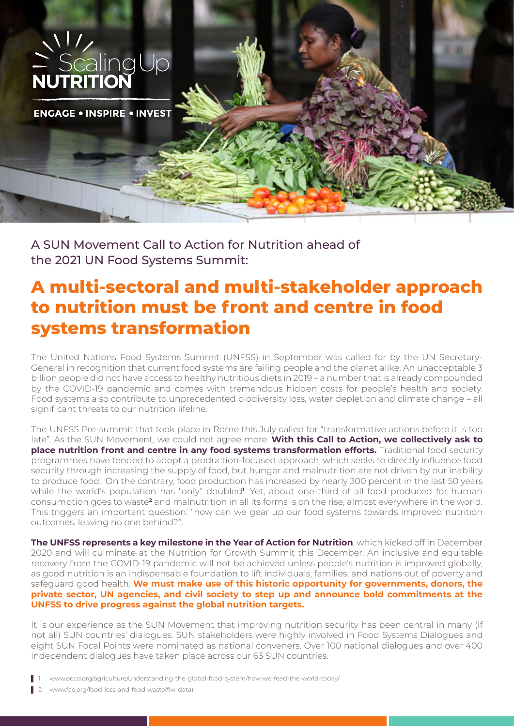

A SUN Movement Call to Action for Nutrition ahead of the 2021 UN Food Systems Summit:

## **A multi-sectoral and multi-stakeholder approach to nutrition must be front and centre in food systems transformation**

The United Nations Food Systems Summit (UNFSS) in September was called for by the UN Secretary-General in recognition that current food systems are failing people and the planet alike. An unacceptable 3 billion people did not have access to healthy nutritious diets in 2019 – a number that is already compounded by the COVID-19 pandemic and comes with tremendous hidden costs for people's health and society. Food systems also contribute to unprecedented biodiversity loss, water depletion and climate change – all significant threats to our nutrition lifeline.

The UNFSS Pre-summit that took place in Rome this July called for "transformative actions before it is too late". As the SUN Movement, we could not agree more. **With this Call to Action, we collectively ask to place nutrition front and centre in any food systems transformation efforts.** Traditional food security programmes have tended to adopt a production-focused approach, which seeks to directly influence food security through increasing the supply of food, but hunger and malnutrition are not driven by our inability to produce food. On the contrary, food production has increased by nearly 300 percent in the last 50 years while the world's population has "only" doubled**<sup>1</sup>** . Yet, about one-third of all food produced for human consumption goes to waste**<sup>2</sup>** and malnutrition in all its forms is on the rise, almost everywhere in the world. This triggers an important question: "how can we gear up our food systems towards improved nutrition outcomes, leaving no one behind?".

**The UNFSS represents a key milestone in the Year of Action for Nutrition**, which kicked off in December 2020 and will culminate at the Nutrition for Growth Summit this December. An inclusive and equitable recovery from the COVID-19 pandemic will not be achieved unless people's nutrition is improved globally, as good nutrition is an indispensable foundation to lift individuals, families, and nations out of poverty and safeguard good health. **We must make use of this historic opportunity for governments, donors, the private sector, UN agencies, and civil society to step up and announce bold commitments at the UNFSS to drive progress against the global nutrition targets.**

It is our experience as the SUN Movement that improving nutrition security has been central in many (if not all) SUN countries' dialogues. SUN stakeholders were highly involved in Food Systems Dialogues and eight SUN Focal Points were nominated as national conveners. Over 100 national dialogues and over 400 independent dialogues have taken place across our 63 SUN countries.

- 1 www.oecd.org/agriculture/understanding-the-global-food-system/how-we-feed-the-world-today/
- 2 www.fao.org/food-loss-and-food-waste/flw-data)